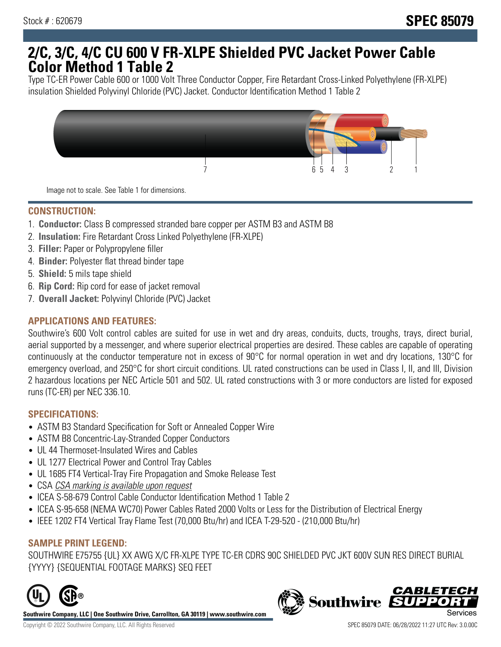# **2/C, 3/C, 4/C CU 600 V FR-XLPE Shielded PVC Jacket Power Cable Color Method 1 Table 2**

Type TC-ER Power Cable 600 or 1000 Volt Three Conductor Copper, Fire Retardant Cross-Linked Polyethylene (FR-XLPE) insulation Shielded Polyvinyl Chloride (PVC) Jacket. Conductor Identification Method 1 Table 2



Image not to scale. See Table 1 for dimensions.

# **CONSTRUCTION:**

- 1. **Conductor:** Class B compressed stranded bare copper per ASTM B3 and ASTM B8
- 2. **Insulation:** Fire Retardant Cross Linked Polyethylene (FR-XLPE)
- 3. **Filler:** Paper or Polypropylene filler
- 4. **Binder:** Polyester flat thread binder tape
- 5. **Shield:** 5 mils tape shield
- 6. **Rip Cord:** Rip cord for ease of jacket removal
- 7. **Overall Jacket:** Polyvinyl Chloride (PVC) Jacket

## **APPLICATIONS AND FEATURES:**

Southwire's 600 Volt control cables are suited for use in wet and dry areas, conduits, ducts, troughs, trays, direct burial, aerial supported by a messenger, and where superior electrical properties are desired. These cables are capable of operating continuously at the conductor temperature not in excess of 90°C for normal operation in wet and dry locations, 130°C for emergency overload, and 250°C for short circuit conditions. UL rated constructions can be used in Class I, II, and III, Division 2 hazardous locations per NEC Article 501 and 502. UL rated constructions with 3 or more conductors are listed for exposed runs (TC-ER) per NEC 336.10.

#### **SPECIFICATIONS:**

- ASTM B3 Standard Specification for Soft or Annealed Copper Wire
- ASTM B8 Concentric-Lay-Stranded Copper Conductors
- UL 44 Thermoset-Insulated Wires and Cables
- UL 1277 Electrical Power and Control Tray Cables
- UL 1685 FT4 Vertical-Tray Fire Propagation and Smoke Release Test
- CSA CSA marking is available upon request
- ICEA S-58-679 Control Cable Conductor Identification Method 1 Table 2
- ICEA S-95-658 (NEMA WC70) Power Cables Rated 2000 Volts or Less for the Distribution of Electrical Energy
- IEEE 1202 FT4 Vertical Tray Flame Test (70,000 Btu/hr) and ICEA T-29-520 (210,000 Btu/hr)

#### **SAMPLE PRINT LEGEND:**

SOUTHWIRE E75755 {UL} XX AWG X/C FR-XLPE TYPE TC-ER CDRS 90C SHIELDED PVC JKT 600V SUN RES DIRECT BURIAL {YYYY} {SEQUENTIAL FOOTAGE MARKS} SEQ FEET



**Southwire Company, LLC | One Southwire Drive, Carrollton, GA 30119 | www.southwire.com**